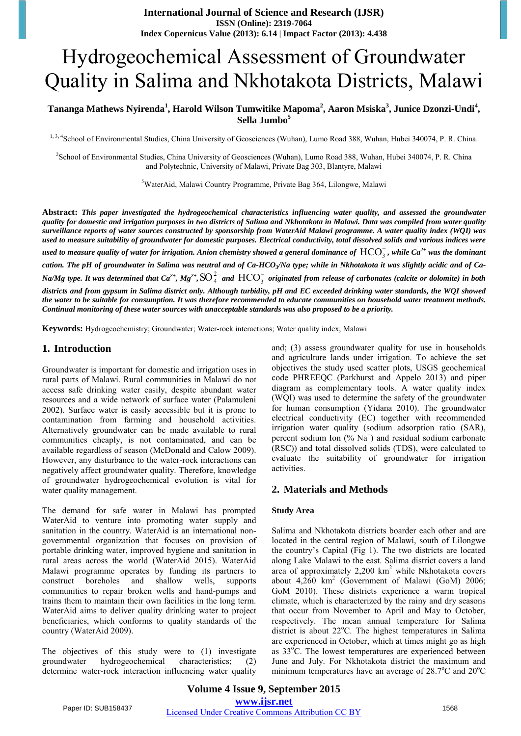# Hydrogeochemical Assessment of Groundwater Quality in Salima and Nkhotakota Districts, Malawi

## **Tananga Mathews Nyirenda<sup>1</sup> , Harold Wilson Tumwitike Mapoma<sup>2</sup> , Aaron Msiska<sup>3</sup> , Junice Dzonzi-Undi<sup>4</sup> , Sella Jumbo<sup>5</sup>**

1, 3, 4School of Environmental Studies, China University of Geosciences (Wuhan), Lumo Road 388, Wuhan, Hubei 340074, P. R. China.

<sup>2</sup>School of Environmental Studies, China University of Geosciences (Wuhan), Lumo Road 388, Wuhan, Hubei 340074, P. R. China and Polytechnic, University of Malawi, Private Bag 303, Blantyre, Malawi

<sup>5</sup>WaterAid, Malawi Country Programme, Private Bag 364, Lilongwe, Malawi

**Abstract:** *This paper investigated the hydrogeochemical characteristics influencing water quality, and assessed the groundwater quality for domestic and irrigation purposes in two districts of Salima and Nkhotakota in Malawi. Data was compiled from water quality surveillance reports of water sources constructed by sponsorship from WaterAid Malawi programme. A water quality index (WQI) was used to measure suitability of groundwater for domestic purposes. Electrical conductivity, total dissolved solids and various indices were*  used to measure quality of water for irrigation. Anion chemistry showed a general dominance of  $\rm{HCO}_{3}^{-}$ , while Ca<sup>2+</sup> was the dominant *cation. The pH of groundwater in Salima was neutral and of Ca-HCO<sup>3</sup> /Na type; while in Nkhotakota it was slightly acidic and of Ca-Na/Mg type. It was determined that Ca<sup>2+</sup>, Mg<sup>2+</sup>, SO<sup>2-</sup><sub>4</sub> and*  $\rm{HCO}_{3}^{-}$  *originated from release of carbonates (calcite or dolomite) in both districts and from gypsum in Salima district only. Although turbidity, pH and EC exceeded drinking water standards, the WQI showed the water to be suitable for consumption. It was therefore recommended to educate communities on household water treatment methods. Continual monitoring of these water sources with unacceptable standards was also proposed to be a priority.*

**Keywords:** Hydrogeochemistry; Groundwater; Water-rock interactions; Water quality index; Malawi

#### **1. Introduction**

Groundwater is important for domestic and irrigation uses in rural parts of Malawi. Rural communities in Malawi do not access safe drinking water easily, despite abundant water resources and a wide network of surface water (Palamuleni 2002). Surface water is easily accessible but it is prone to contamination from farming and household activities. Alternatively groundwater can be made available to rural communities cheaply, is not contaminated, and can be available regardless of season (McDonald and Calow 2009). However, any disturbance to the water-rock interactions can negatively affect groundwater quality. Therefore, knowledge of groundwater hydrogeochemical evolution is vital for water quality management.

The demand for safe water in Malawi has prompted WaterAid to venture into promoting water supply and sanitation in the country. WaterAid is an international nongovernmental organization that focuses on provision of portable drinking water, improved hygiene and sanitation in rural areas across the world (WaterAid 2015). WaterAid Malawi programme operates by funding its partners to construct boreholes and shallow wells, supports communities to repair broken wells and hand-pumps and trains them to maintain their own facilities in the long term. WaterAid aims to deliver quality drinking water to project beneficiaries, which conforms to quality standards of the country (WaterAid 2009).

The objectives of this study were to (1) investigate groundwater hydrogeochemical characteristics; (2) determine water-rock interaction influencing water quality and; (3) assess groundwater quality for use in households and agriculture lands under irrigation. To achieve the set objectives the study used scatter plots, USGS geochemical code PHREEQC (Parkhurst and Appelo 2013) and piper diagram as complementary tools. A water quality index (WQI) was used to determine the safety of the groundwater for human consumption (Yidana 2010). The groundwater electrical conductivity (EC) together with recommended irrigation water quality (sodium adsorption ratio (SAR), percent sodium Ion (% Na<sup>+</sup>) and residual sodium carbonate (RSC)) and total dissolved solids (TDS), were calculated to evaluate the suitability of groundwater for irrigation activities.

## **2. Materials and Methods**

#### **Study Area**

Salima and Nkhotakota districts boarder each other and are located in the central region of Malawi, south of Lilongwe the country's Capital (Fig 1). The two districts are located along Lake Malawi to the east. Salima district covers a land area of approximately 2,200 km<sup>2</sup> while Nkhotakota covers about 4,260 km<sup>2</sup> (Government of Malawi (GoM) 2006; GoM 2010). These districts experience a warm tropical climate, which is characterized by the rainy and dry seasons that occur from November to April and May to October, respectively. The mean annual temperature for Salima district is about  $22^{\circ}$ C. The highest temperatures in Salima are experienced in October, which at times might go as high as 33°C. The lowest temperatures are experienced between June and July. For Nkhotakota district the maximum and minimum temperatures have an average of  $28.7^{\circ}$ C and  $20^{\circ}$ C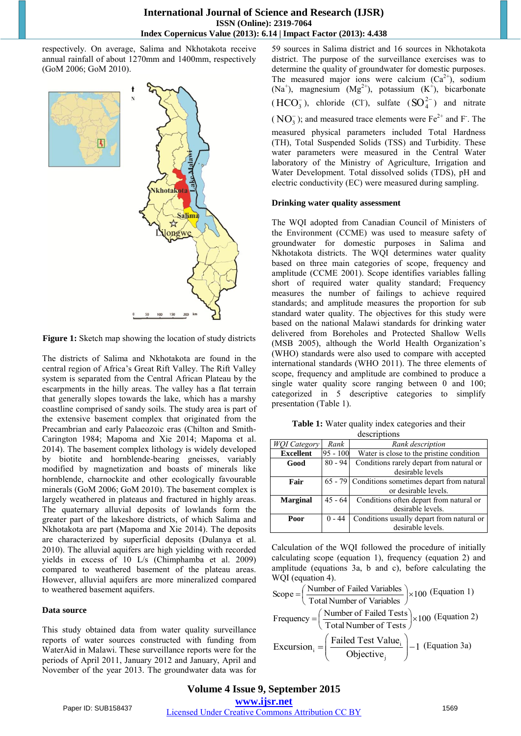### **International Journal of Science and Research (IJSR) ISSN (Online): 2319-7064 Index Copernicus Value (2013): 6.14 | Impact Factor (2013): 4.438**

respectively. On average, Salima and Nkhotakota receive annual rainfall of about 1270mm and 1400mm, respectively (GoM 2006; GoM 2010).



**Figure 1:** Sketch map showing the location of study districts

The districts of Salima and Nkhotakota are found in the central region of Africa's Great Rift Valley. The Rift Valley system is separated from the Central African Plateau by the escarpments in the hilly areas. The valley has a flat terrain that generally slopes towards the lake, which has a marshy coastline comprised of sandy soils. The study area is part of the extensive basement complex that originated from the Precambrian and early Palaeozoic eras (Chilton and Smith-Carington 1984; Mapoma and Xie 2014; Mapoma et al. 2014). The basement complex lithology is widely developed by biotite and hornblende-bearing gneisses, variably modified by magnetization and boasts of minerals like hornblende, charnockite and other ecologically favourable minerals (GoM 2006; GoM 2010). The basement complex is largely weathered in plateaus and fractured in highly areas. The quaternary alluvial deposits of lowlands form the greater part of the lakeshore districts, of which Salima and Nkhotakota are part (Mapoma and Xie 2014). The deposits are characterized by superficial deposits (Dulanya et al. 2010). The alluvial aquifers are high yielding with recorded yields in excess of 10 L/s (Chimphamba et al. 2009) compared to weathered basement of the plateau areas. However, alluvial aquifers are more mineralized compared to weathered basement aquifers.

#### **Data source**

This study obtained data from water quality surveillance reports of water sources constructed with funding from WaterAid in Malawi. These surveillance reports were for the periods of April 2011, January 2012 and January, April and November of the year 2013. The groundwater data was for 59 sources in Salima district and 16 sources in Nkhotakota district. The purpose of the surveillance exercises was to determine the quality of groundwater for domestic purposes. The measured major ions were calcium  $(Ca^{2+})$ , sodium (Na<sup>+</sup>), magnesium  $(Mg^{2+})$ , potassium  $(K^+)$ , bicarbonate  $(HCO<sub>3</sub><sup>-</sup>)$ , chloride (Cl<sup>-</sup>), sulfate  $(SO<sub>4</sub><sup>2-</sup>)$  and nitrate  $(NO<sub>3</sub><sup>-</sup>)$ ; and measured trace elements were Fe<sup>2+</sup> and F<sup>-</sup>. The

measured physical parameters included Total Hardness (TH), Total Suspended Solids (TSS) and Turbidity. These water parameters were measured in the Central Water laboratory of the Ministry of Agriculture, Irrigation and Water Development. Total dissolved solids (TDS), pH and electric conductivity (EC) were measured during sampling.

#### **Drinking water quality assessment**

The WQI adopted from Canadian Council of Ministers of the Environment (CCME) was used to measure safety of groundwater for domestic purposes in Salima and Nkhotakota districts. The WQI determines water quality based on three main categories of scope, frequency and amplitude (CCME 2001). Scope identifies variables falling short of required water quality standard; Frequency measures the number of failings to achieve required standards; and amplitude measures the proportion for sub standard water quality. The objectives for this study were based on the national Malawi standards for drinking water delivered from Boreholes and Protected Shallow Wells (MSB 2005), although the World Health Organization's (WHO) standards were also used to compare with accepted international standards (WHO 2011). The three elements of scope, frequency and amplitude are combined to produce a single water quality score ranging between 0 and 100; categorized in 5 descriptive categories to simplify presentation (Table 1).

**Table 1:** Water quality index categories and their

| descriptions        |            |                                                  |  |  |  |  |  |  |
|---------------------|------------|--------------------------------------------------|--|--|--|--|--|--|
| <b>WOI</b> Category | Rank       | Rank description                                 |  |  |  |  |  |  |
| <b>Excellent</b>    | $95 - 100$ | Water is close to the pristine condition         |  |  |  |  |  |  |
| Good                | $80 - 94$  | Conditions rarely depart from natural or         |  |  |  |  |  |  |
|                     |            | desirable levels                                 |  |  |  |  |  |  |
| Fair                |            | 65 - 79 Conditions sometimes depart from natural |  |  |  |  |  |  |
|                     |            | or desirable levels.                             |  |  |  |  |  |  |
| <b>Marginal</b>     | $45 - 64$  | Conditions often depart from natural or          |  |  |  |  |  |  |
|                     |            | desirable levels.                                |  |  |  |  |  |  |
| Poor                | $0 - 44$   | Conditions usually depart from natural or        |  |  |  |  |  |  |
|                     |            | desirable levels.                                |  |  |  |  |  |  |

Calculation of the WQI followed the procedure of initially calculating scope (equation 1), frequency (equation 2) and amplitude (equations 3a, b and c), before calculating the WQI (equation 4).

Scope = 
$$
\left(\frac{\text{Number of Failed Variables}}{\text{Total Number of Variables}}\right) \times 100
$$
 (Equation 1)

\nFrequency =  $\left(\frac{\text{Number of Failed Tests}}{\text{Total Number of Tests}}\right) \times 100$  (Equation 2)

\nExclusion: =  $\left(\frac{\text{Failed Test Value}_{i}}{\text{Objective}_{j}}\right) - 1$  (Equation 3a)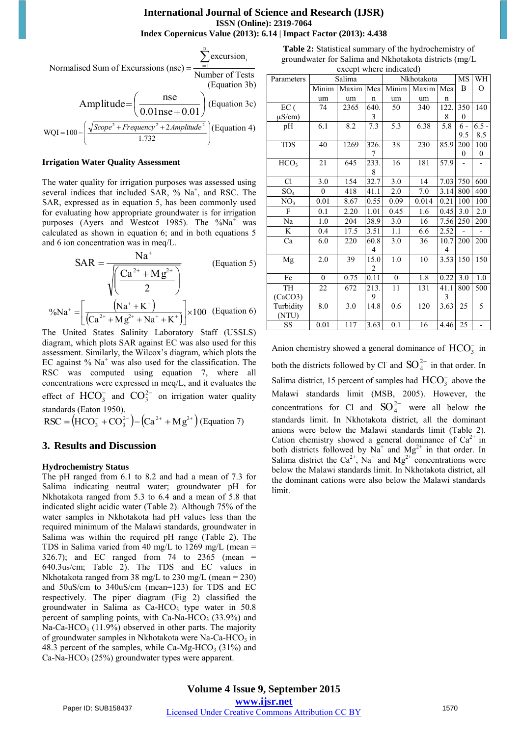Normalised Sum of Excursions (nse) = 
$$
\frac{\sum_{i=1}^{n} \text{excursion}_i}{\text{Number of Tests}} \text{(Equation 3b)}
$$
  
\n
$$
Amp little = \left(\frac{\text{nse}}{0.01 \text{nse} + 0.01}\right) \text{(Equation 3c)}
$$
  
\n
$$
wQI = 100 - \left(\frac{\sqrt{Scope^2 + Frequency^2 + 2Amplitude^2}}{1.732}\right) \text{(Equation 4)}
$$

#### **Irrigation Water Quality Assessment**

The water quality for irrigation purposes was assessed using several indices that included SAR,  $%$  Na<sup>+</sup>, and RSC. The SAR, expressed as in equation 5, has been commonly used for evaluating how appropriate groundwater is for irrigation purposes (Ayers and Westcot 1985). The % $Na<sup>+</sup>$  was calculated as shown in equation 6; and in both equations 5 and 6 ion concentration was in meq/L.

$$
SAR = \frac{Na^{+}}{\sqrt{\left(\frac{Ca^{2+} + Mg^{2+}}{2}\right)}}
$$
 (Equation 5)  
\n<sup>9</sup>6Na<sup>+</sup> =  $\left[\frac{(Na^{+} + K^{+})}{(Ca^{2+} + Mg^{2+} + Na^{+} + K^{+})}\right] \times 100$  (Equation 6)

The United States Salinity Laboratory Staff (USSLS) diagram, which plots SAR against EC was also used for this assessment. Similarly, the Wilcox's diagram, which plots the EC against  $%$  Na<sup>+</sup> was also used for the classification. The RSC was computed using equation 7, where all concentrations were expressed in meq/L, and it evaluates the effect of  $HCO_3^-$  and  $CO_3^{2-}$  on irrigation water quality standards (Eaton 1950). effect of  $\text{HCO}_3^-$  and  $\text{CO}_3^{2-}$  on irrigation water qua<br>standards (Eaton 1950).<br>RSC =  $(\text{HCO}_3^- + \text{CO}_3^{2-}) - (\text{Ca}^{2+} + \text{Mg}^{2+})$  (Equation 7)

## **3. Results and Discussion**

#### **Hydrochemistry Status**

The pH ranged from 6.1 to 8.2 and had a mean of 7.3 for Salima indicating neutral water; groundwater pH for Nkhotakota ranged from 5.3 to 6.4 and a mean of 5.8 that indicated slight acidic water (Table 2). Although 75% of the water samples in Nkhotakota had pH values less than the required minimum of the Malawi standards, groundwater in Salima was within the required pH range (Table 2). The TDS in Salima varied from 40 mg/L to 1269 mg/L (mean  $=$  $326.7$ ); and EC ranged from 74 to 2365 (mean = 640.3us/cm; Table 2). The TDS and EC values in Nkhotakota ranged from 38 mg/L to 230 mg/L (mean = 230) and 50uS/cm to 340uS/cm (mean=123) for TDS and EC respectively. The piper diagram (Fig 2) classified the groundwater in Salima as  $Ca-HCO<sub>3</sub>$  type water in 50.8 percent of sampling points, with Ca-Na-HCO<sub>3</sub> (33.9%) and Na-Ca-HCO<sub>3</sub> (11.9%) observed in other parts. The majority of groundwater samples in Nkhotakota were Na-Ca-HCO<sub>3</sub> in 48.3 percent of the samples, while Ca-Mg-HCO<sub>3</sub> (31%) and Ca-Na-HCO<sub>3</sub> (25%) groundwater types were apparent.

**Table 2:** Statistical summary of the hydrochemistry of groundwater for Salima and Nkhotakota districts (mg/L except where indicated)

| except where mureated |          |       |             |            |       |             |                |                  |  |  |
|-----------------------|----------|-------|-------------|------------|-------|-------------|----------------|------------------|--|--|
| Parameters            | Salima   |       |             | Nkhotakota |       |             | MS             | WH               |  |  |
|                       | Minim    | Maxim |             | Mea Minim  | Maxim | Mea         | B              | О                |  |  |
|                       | um       | um    | $\mathbf n$ | um         | um    | $\mathbf n$ |                |                  |  |  |
| EC(                   | 74       | 2365  | 640.        | 50         | 340   | 122.        | 350            | 140              |  |  |
| $\mu$ S/cm)           |          |       | 3           |            |       | 8           | $\overline{0}$ |                  |  |  |
| pH                    | 6.1      | 8.2   | 7.3         | 5.3        | 6.38  | 5.8         | $6 -$          | $6.5 -$          |  |  |
|                       |          |       |             |            |       |             | 9.5            | 8.5              |  |  |
| <b>TDS</b>            | 40       | 1269  | 326.        | 38         | 230   | 85.9        | 200            | 100              |  |  |
|                       |          |       | 7           |            |       |             | $\theta$       | 0                |  |  |
| HCO <sub>3</sub>      | 21       | 645   | 233.        | 16         | 181   | 57.9        |                |                  |  |  |
|                       |          |       | 8           |            |       |             |                |                  |  |  |
| C1                    | 3.0      | 154   | 32.7        | 3.0        | 14    | 7.03        | 750            | 600              |  |  |
| $SO_4$                | $\theta$ | 418   | 41.1        | 2.0        | 7.0   | 3.14        | 800            | 400              |  |  |
| NO <sub>3</sub>       | 0.01     | 8.67  | 0.55        | 0.09       | 0.014 | 0.21        | 100            | 100              |  |  |
| $\mathbf{F}$          | 0.1      | 2.20  | 1.01        | 0.45       | 1.6   | 0.45        | 3.0            | $2.0\,$          |  |  |
| Na                    | 1.0      | 204   | 38.9        | 3.0        | 16    | 7.56        | 250            | 200              |  |  |
| K                     | 0.4      | 17.5  | 3.51        | 1.1        | 6.6   | 2.52        | $\overline{a}$ | $\overline{a}$   |  |  |
| Ca                    | 6.0      | 220   | 60.8        | 3.0        | 36    | 10.7        | 200            | 200              |  |  |
|                       |          |       | 4           |            |       | 4           |                |                  |  |  |
| Mg                    | 2.0      | 39    | 15.0        | 1.0        | 10    | 3.53        | 150            | 150              |  |  |
|                       |          |       | 2           |            |       |             |                |                  |  |  |
| Fe                    | $\theta$ | 0.75  | 0.11        | $\theta$   | 1.8   | 0.22        | 3.0            | $\overline{1.0}$ |  |  |
| <b>TH</b>             | 22       | 672   | 213.        | 11         | 131   | 41.1        | 800            | 500              |  |  |
| (CaCO3)               |          |       | 9           |            |       | 3           |                |                  |  |  |
| Turbidity             | 8.0      | 3.0   | 14.8        | 0.6        | 120   | 3.63        | 25             | 5                |  |  |
| (NTU)                 |          |       |             |            |       |             |                |                  |  |  |
| <b>SS</b>             | 0.01     | 117   | 3.63        | 0.1        | 16    | 4.46        | 25             | -                |  |  |

Anion chemistry showed a general dominance of  $HCO_3^-$  in both the districts followed by Cl<sup>-</sup> and  $SO_4^{2-}$  in that order. In Salima district, 15 percent of samples had  $HCO_3^-$  above the Malawi standards limit (MSB, 2005). However, the concentrations for Cl and  $SO_4^{2-}$  were all below the standards limit. In Nkhotakota district, all the dominant anions were below the Malawi standards limit (Table 2). Cation chemistry showed a general dominance of  $Ca^{2+}$  in both districts followed by  $N\overline{a}^+$  and  $Mg^{2+}$  in that order. In Salima district the  $Ca^{2+}$ , Na<sup>+</sup> and Mg<sup>2+</sup> concentrations were below the Malawi standards limit. In Nkhotakota district, all the dominant cations were also below the Malawi standards limit.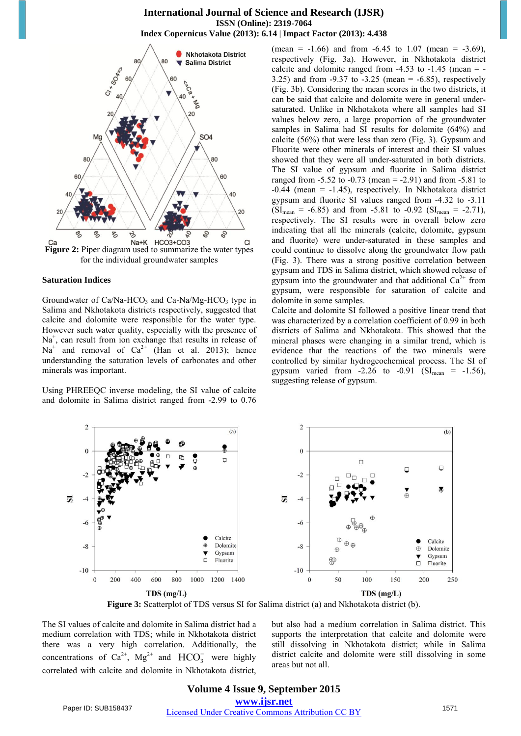

**Figure 2:** Piper diagram used to summarize the water types for the individual groundwater samples

#### **Saturation Indices**

Groundwater of  $Ca/Na-HCO<sub>3</sub>$  and  $Ca-Na/Mg-HCO<sub>3</sub>$  type in Salima and Nkhotakota districts respectively, suggested that calcite and dolomite were responsible for the water type. However such water quality, especially with the presence of Na<sup>+</sup>, can result from ion exchange that results in release of  $Na<sup>+</sup>$  and removal of  $Ca<sup>2+</sup>$  (Han et al. 2013); hence understanding the saturation levels of carbonates and other minerals was important.

Using PHREEQC inverse modeling, the SI value of calcite and dolomite in Salima district ranged from -2.99 to 0.76

(mean =  $-1.66$ ) and from  $-6.45$  to  $1.07$  (mean =  $-3.69$ ), respectively (Fig. 3a). However, in Nkhotakota district calcite and dolomite ranged from  $-4.53$  to  $-1.45$  (mean  $=$  -3.25) and from -9.37 to -3.25 (mean = -6.85), respectively (Fig. 3b). Considering the mean scores in the two districts, it can be said that calcite and dolomite were in general undersaturated. Unlike in Nkhotakota where all samples had SI values below zero, a large proportion of the groundwater samples in Salima had SI results for dolomite (64%) and calcite (56%) that were less than zero (Fig. 3). Gypsum and Fluorite were other minerals of interest and their SI values showed that they were all under-saturated in both districts. The SI value of gypsum and fluorite in Salima district ranged from  $-5.52$  to  $-0.73$  (mean  $= -2.91$ ) and from  $-5.81$  to  $-0.44$  (mean =  $-1.45$ ), respectively. In Nkhotakota district gypsum and fluorite SI values ranged from -4.32 to -3.11  $(SI_{mean} = -6.85)$  and from  $-5.81$  to  $-0.92$   $(SI_{mean} = -2.71)$ , respectively. The SI results were in overall below zero indicating that all the minerals (calcite, dolomite, gypsum and fluorite) were under-saturated in these samples and could continue to dissolve along the groundwater flow path (Fig. 3). There was a strong positive correlation between gypsum and TDS in Salima district, which showed release of gypsum into the groundwater and that additional  $Ca^{2+}$  from gypsum, were responsible for saturation of calcite and dolomite in some samples.

Calcite and dolomite SI followed a positive linear trend that was characterized by a correlation coefficient of 0.99 in both districts of Salima and Nkhotakota. This showed that the mineral phases were changing in a similar trend, which is evidence that the reactions of the two minerals were controlled by similar hydrogeochemical process. The SI of gypsum varied from -2.26 to -0.91 ( $SI_{mean}$  = -1.56), suggesting release of gypsum.



**Figure 3:** Scatterplot of TDS versus SI for Salima district (a) and Nkhotakota district (b).

The SI values of calcite and dolomite in Salima district had a medium correlation with TDS; while in Nkhotakota district there was a very high correlation. Additionally, the concentrations of  $Ca^{2+}$ ,  $Mg^{2+}$  and  $HCO_3^-$  were highly correlated with calcite and dolomite in Nkhotakota district,

but also had a medium correlation in Salima district. This supports the interpretation that calcite and dolomite were still dissolving in Nkhotakota district; while in Salima district calcite and dolomite were still dissolving in some areas but not all.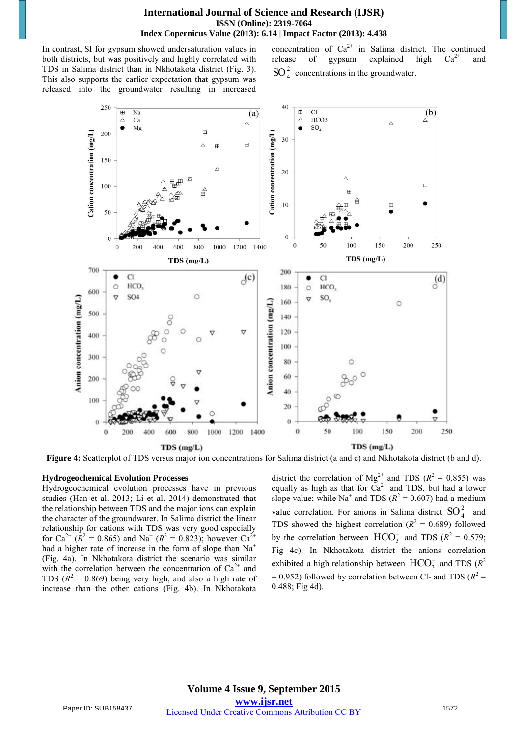In contrast, SI for gypsum showed undersaturation values in both districts, but was positively and highly correlated with TDS in Salima district than in Nkhotakota district (Fig. 3). This also supports the earlier expectation that gypsum was released into the groundwater resulting in increased

concentration of  $Ca^{2+}$  in Salima district. The continued release of gypsum explained high  $Ca^{2+}$  and  $SO_4^{2-}$  concentrations in the groundwater.





**Figure 4:** Scatterplot of TDS versus major ion concentrations for Salima district (a and c) and Nkhotakota district (b and d).

#### **Hydrogeochemical Evolution Processes**

Hydrogeochemical evolution processes have in previous studies (Han et al. 2013; Li et al. 2014) demonstrated that the relationship between TDS and the major ions can explain the character of the groundwater. In Salima district the linear relationship for cations with TDS was very good especially for Ca<sup>2+</sup> ( $\overline{R}$ <sup>2</sup> = 0.865) and Na<sup>+</sup> ( $\overline{R}$ <sup>2</sup> = 0.823); however Ca<sup>2+</sup> had a higher rate of increase in the form of slope than  $Na<sup>+</sup>$ (Fig. 4a). In Nkhotakota district the scenario was similar with the correlation between the concentration of  $Ca^{2+}$  and TDS  $(R^2 = 0.869)$  being very high, and also a high rate of increase than the other cations (Fig. 4b). In Nkhotakota

district the correlation of  $Mg^{2+}$  and TDS ( $R^2 = 0.855$ ) was equally as high as that for  $\tilde{Ca}^{2+}$  and TDS, but had a lower slope value; while Na<sup>+</sup> and TDS ( $R^2 = 0.607$ ) had a medium value correlation. For anions in Salima district  $SO_4^{2-}$  and TDS showed the highest correlation  $(R^2 = 0.689)$  followed by the correlation between  $HCO_3^-$  and TDS ( $R^2 = 0.579$ ; Fig 4c). In Nkhotakota district the anions correlation exhibited a high relationship between  $\text{HCO}_3^-$  and TDS ( $R^2$ )  $= 0.952$ ) followed by correlation between Cl- and TDS ( $R^2 =$ 0.488; Fig 4d).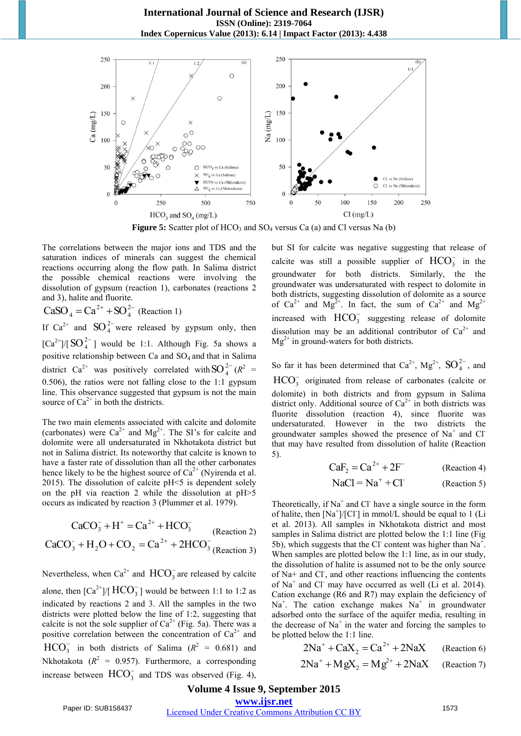

**Figure 5:** Scatter plot of  $HCO_3$  and  $SO_4$  versus Ca (a) and Cl versus Na (b)

The correlations between the major ions and TDS and the saturation indices of minerals can suggest the chemical reactions occurring along the flow path. In Salima district the possible chemical reactions were involving the dissolution of gypsum (reaction 1), carbonates (reactions 2 and 3), halite and fluorite.

 $= Ca^{2+} + SO_4^{2-}$  $CaSO_4 = Ca^{2+} + SO_4^{2-}$  (Reaction 1)

If  $Ca^{2+}$  and  $SO_4^{2-}$  were released by gypsum only, then  $\left[\text{Ca}^{2+}\right] / \left[\text{SO}^{2-}_{4}\right]$  would be 1:1. Although Fig. 5a shows a positive relationship between Ca and SO<sup>4</sup> and that in Salima district Ca<sup>2+</sup> was positively correlated with  $SO_4^{2-}(R^2 =$ 0.506), the ratios were not falling close to the 1:1 gypsum line. This observance suggested that gypsum is not the main source of  $Ca^{2+}$  in both the districts.

The two main elements associated with calcite and dolomite (carbonates) were  $Ca^{2+}$  and  $Mg^{2+}$ . The SI's for calcite and dolomite were all undersaturated in Nkhotakota district but not in Salima district. Its noteworthy that calcite is known to have a faster rate of dissolution than all the other carbonates hence likely to be the highest source of  $Ca^{2+}$  (Nyirenda et al. 2015). The dissolution of calcite  $pH \le 5$  is dependent solely on the pH via reaction 2 while the dissolution at pH>5 occurs as indicated by reaction 3 (Plummer et al. 1979).

$$
CaCO3- + H+ = Ca2+ + HCO3- (Reaction 2)
$$
  
\n
$$
CaCO3- + H2O + CO2 = Ca2+ + 2HCO3- (Reaction 3)
$$

Nevertheless, when  $Ca^{2+}$  and  $HCO_3^-$  are released by calcite alone, then  $\text{[Ca}^{2+}]/\text{[ HCO}^{-}_{3} \text{]}$  would be between 1:1 to 1:2 as indicated by reactions 2 and 3. All the samples in the two districts were plotted below the line of 1:2, suggesting that calcite is not the sole supplier of  $Ca^{2+}$  (Fig. 5a). There was a positive correlation between the concentration of  $Ca^{2+}$  and  $HCO_3^-$  in both districts of Salima ( $R^2 = 0.681$ ) and Nkhotakota ( $R^2 = 0.957$ ). Furthermore, a corresponding increase between  $\text{HCO}_3^-$  and TDS was observed (Fig. 4),

but SI for calcite was negative suggesting that release of calcite was still a possible supplier of  $HCO_3^-$  in the groundwater for both districts. Similarly, the the groundwater was undersaturated with respect to dolomite in both districts, suggesting dissolution of dolomite as a source of Ca<sup>2+</sup> and Mg<sup>2+</sup>. In fact, the sum of Ca<sup>2+</sup> and Mg<sup>2+</sup> increased with  $\text{HCO}_3^-$  suggesting release of dolomite dissolution may be an additional contributor of  $Ca^{2+}$  and  $Mg^{2+}$  in ground-waters for both districts.

So far it has been determined that  $Ca^{2+}$ ,  $Mg^{2+}$ ,  $SO_4^{2-}$ , and

 $HCO<sub>3</sub><sup>-</sup>$  originated from release of carbonates (calcite or dolomite) in both districts and from gypsum in Salima district only. Additional source of  $Ca^{2+}$  in both districts was fluorite dissolution (reaction 4), since fluorite was undersaturated. However in the two districts the groundwater samples showed the presence of  $Na<sup>+</sup>$  and Cl<sup>-</sup> that may have resulted from dissolution of halite (Reaction 5).

$$
CaF2 = Ca2+ + 2F-
$$
 (Reaction 4)  
NaCl = Na<sup>+</sup> + Cl<sup>-</sup> (Reaction 5)

Theoretically, if  $Na<sup>+</sup>$  and Cl<sup>-</sup> have a single source in the form of halite, then [Na<sup>+</sup>]/[Cl<sup>-</sup>] in mmol/L should be equal to 1 (Li et al. 2013). All samples in Nkhotakota district and most samples in Salima district are plotted below the 1:1 line (Fig 5b), which suggests that the Cl content was higher than  $Na<sup>+</sup>$ . When samples are plotted below the 1:1 line, as in our study, the dissolution of halite is assumed not to be the only source of Na+ and Cl<sup>-</sup>, and other reactions influencing the contents of  $Na<sup>+</sup>$  and Cl<sup>-</sup> may have occurred as well (Li et al. 2014). Cation exchange (R6 and R7) may explain the deficiency of Na<sup>+</sup>. The cation exchange makes Na<sup>+</sup> in groundwater adsorbed onto the surface of the aquifer media, resulting in the decrease of  $Na<sup>+</sup>$  in the water and forcing the samples to be plotted below the 1:1 line.

$$
2Na^{+} + CaX_{2} = Ca^{2+} + 2NaX
$$
 (Reaction 6)

$$
2Na^{+} + MgX_{2} = Mg^{2+} + 2NaX
$$
 (Reaction 7)

## **Volume 4 Issue 9, September 2015**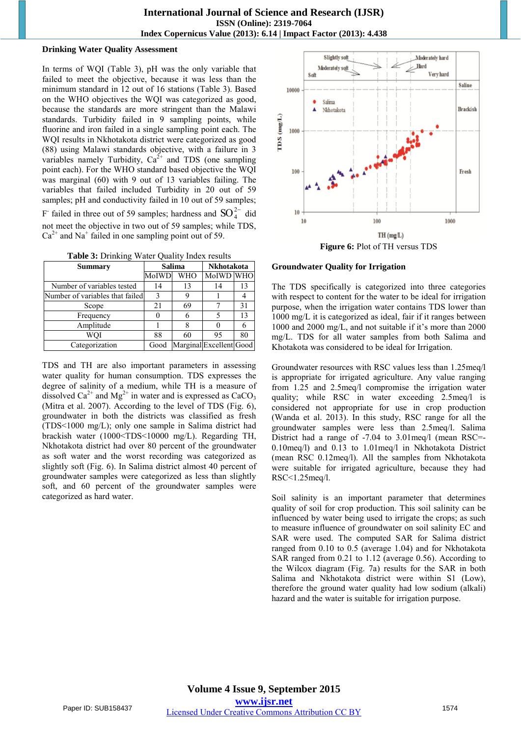#### **Drinking Water Quality Assessment**

In terms of WQI (Table 3), pH was the only variable that failed to meet the objective, because it was less than the minimum standard in 12 out of 16 stations (Table 3). Based on the WHO objectives the WQI was categorized as good, because the standards are more stringent than the Malawi standards. Turbidity failed in 9 sampling points, while fluorine and iron failed in a single sampling point each. The WQI results in Nkhotakota district were categorized as good (88) using Malawi standards objective, with a failure in 3 variables namely Turbidity,  $Ca^{2+}$  and TDS (one sampling point each). For the WHO standard based objective the WQI was marginal (60) with 9 out of 13 variables failing. The variables that failed included Turbidity in 20 out of 59 samples; pH and conductivity failed in 10 out of 59 samples; F failed in three out of 59 samples; hardness and  $SO_4^{2-}$  did not meet the objective in two out of 59 samples; while TDS,  $Ca<sup>2+</sup>$  and Na<sup>+</sup> failed in one sampling point out of 59.

**Table 3:** Drinking Water Quality Index results

| Summary                         |       | <b>Salima</b> | Nkhotakota              |    |  |
|---------------------------------|-------|---------------|-------------------------|----|--|
|                                 | MoIWD | <b>WHO</b>    | MoIWD WHO               |    |  |
| Number of variables tested      | 14    | 13            | 14                      | 13 |  |
| Number of variables that failed | 3     |               |                         |    |  |
| Scope                           | 21    | 69            |                         | 31 |  |
| Frequency                       |       |               |                         | 13 |  |
| Amplitude                       |       |               |                         |    |  |
| WOI                             | 88    | 60            | 95                      | 80 |  |
| Categorization                  | Good  |               | Marginal Excellent Good |    |  |

TDS and TH are also important parameters in assessing water quality for human consumption. TDS expresses the degree of salinity of a medium, while TH is a measure of dissolved  $Ca^{2+}$  and  $Mg^{2+}$  in water and is expressed as  $CaCO<sub>3</sub>$ (Mitra et al. 2007). According to the level of TDS (Fig. 6), groundwater in both the districts was classified as fresh (TDS<1000 mg/L); only one sample in Salima district had brackish water (1000<TDS<10000 mg/L). Regarding TH, Nkhotakota district had over 80 percent of the groundwater as soft water and the worst recording was categorized as slightly soft (Fig. 6). In Salima district almost 40 percent of groundwater samples were categorized as less than slightly soft, and 60 percent of the groundwater samples were categorized as hard water.



#### **Groundwater Quality for Irrigation**

The TDS specifically is categorized into three categories with respect to content for the water to be ideal for irrigation purpose, when the irrigation water contains TDS lower than 1000 mg/L it is categorized as ideal, fair if it ranges between 1000 and 2000 mg/L, and not suitable if it's more than 2000 mg/L. TDS for all water samples from both Salima and Khotakota was considered to be ideal for Irrigation.

Groundwater resources with RSC values less than 1.25meq/l is appropriate for irrigated agriculture. Any value ranging from 1.25 and 2.5meq/l compromise the irrigation water quality; while RSC in water exceeding 2.5meq/l is considered not appropriate for use in crop production (Wanda et al. 2013). In this study, RSC range for all the groundwater samples were less than 2.5meq/l. Salima District had a range of -7.04 to 3.01meq/l (mean RSC=- 0.10meq/l) and 0.13 to 1.01meq/l in Nkhotakota District (mean RSC 0.12meq/l). All the samples from Nkhotakota were suitable for irrigated agriculture, because they had RSC<1.25meq/l.

Soil salinity is an important parameter that determines quality of soil for crop production. This soil salinity can be influenced by water being used to irrigate the crops; as such to measure influence of groundwater on soil salinity EC and SAR were used. The computed SAR for Salima district ranged from 0.10 to 0.5 (average 1.04) and for Nkhotakota SAR ranged from 0.21 to 1.12 (average 0.56). According to the Wilcox diagram (Fig. 7a) results for the SAR in both Salima and Nkhotakota district were within S1 (Low), therefore the ground water quality had low sodium (alkali) hazard and the water is suitable for irrigation purpose.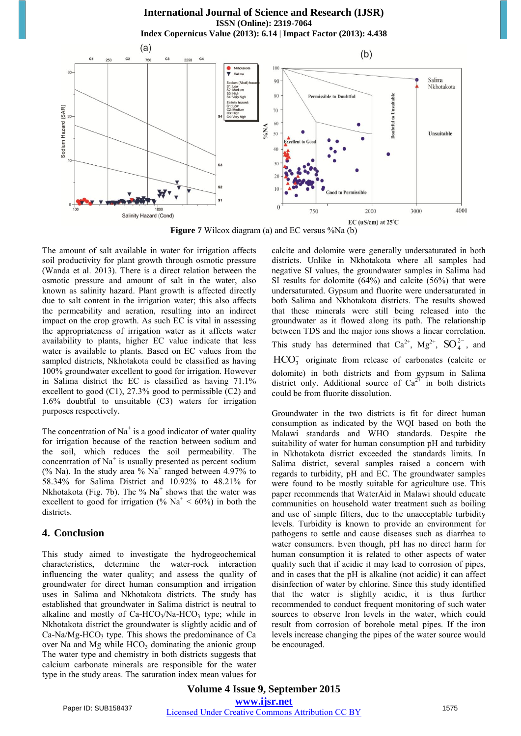**International Journal of Science and Research (IJSR) ISSN (Online): 2319-7064 Index Copernicus Value (2013): 6.14 | Impact Factor (2013): 4.438** 



**Figure 7** Wilcox diagram (a) and EC versus %Na (b)

The amount of salt available in water for irrigation affects soil productivity for plant growth through osmotic pressure (Wanda et al. 2013). There is a direct relation between the osmotic pressure and amount of salt in the water, also known as salinity hazard. Plant growth is affected directly due to salt content in the irrigation water; this also affects the permeability and aeration, resulting into an indirect impact on the crop growth. As such EC is vital in assessing the appropriateness of irrigation water as it affects water availability to plants, higher EC value indicate that less water is available to plants. Based on EC values from the sampled districts, Nkhotakota could be classified as having 100% groundwater excellent to good for irrigation. However in Salima district the EC is classified as having 71.1% excellent to good (C1), 27.3% good to permissible (C2) and 1.6% doubtful to unsuitable (C3) waters for irrigation purposes respectively.

The concentration of  $Na<sup>+</sup>$  is a good indicator of water quality for irrigation because of the reaction between sodium and the soil, which reduces the soil permeability. The concentration of  $Na<sup>+</sup>$  is usually presented as percent sodium (% Na). In the study area %  $Na<sup>+</sup>$  ranged between 4.97% to 58.34% for Salima District and 10.92% to 48.21% for Nkhotakota (Fig. 7b). The %  $Na<sup>+</sup>$  shows that the water was excellent to good for irrigation (%  $Na<sup>+</sup> < 60%$ ) in both the districts.

#### **4. Conclusion**

This study aimed to investigate the hydrogeochemical characteristics, determine the water-rock interaction influencing the water quality; and assess the quality of groundwater for direct human consumption and irrigation uses in Salima and Nkhotakota districts. The study has established that groundwater in Salima district is neutral to alkaline and mostly of  $Ca-HCO<sub>3</sub>/Na-HCO<sub>3</sub>$  type; while in Nkhotakota district the groundwater is slightly acidic and of  $Ca-Na/Mg-HCO<sub>3</sub>$  type. This shows the predominance of Ca over Na and Mg while  $HCO<sub>3</sub>$  dominating the anionic group The water type and chemistry in both districts suggests that calcium carbonate minerals are responsible for the water type in the study areas. The saturation index mean values for calcite and dolomite were generally undersaturated in both districts. Unlike in Nkhotakota where all samples had negative SI values, the groundwater samples in Salima had SI results for dolomite (64%) and calcite (56%) that were undersaturated. Gypsum and fluorite were undersaturated in both Salima and Nkhotakota districts. The results showed that these minerals were still being released into the groundwater as it flowed along its path. The relationship between TDS and the major ions shows a linear correlation. This study has determined that  $Ca^{2+}$ ,  $Mg^{2+}$ ,  $SO_4^{2-}$ , and  $HCO<sub>3</sub><sup>-</sup>$  originate from release of carbonates (calcite or

dolomite) in both districts and from gypsum in Salima district only. Additional source of  $Ca^{2+}$  in both districts could be from fluorite dissolution.

Groundwater in the two districts is fit for direct human consumption as indicated by the WQI based on both the Malawi standards and WHO standards. Despite the suitability of water for human consumption pH and turbidity in Nkhotakota district exceeded the standards limits. In Salima district, several samples raised a concern with regards to turbidity, pH and EC. The groundwater samples were found to be mostly suitable for agriculture use. This paper recommends that WaterAid in Malawi should educate communities on household water treatment such as boiling and use of simple filters, due to the unacceptable turbidity levels. Turbidity is known to provide an environment for pathogens to settle and cause diseases such as diarrhea to water consumers. Even though, pH has no direct harm for human consumption it is related to other aspects of water quality such that if acidic it may lead to corrosion of pipes, and in cases that the pH is alkaline (not acidic) it can affect disinfection of water by chlorine. Since this study identified that the water is slightly acidic, it is thus further recommended to conduct frequent monitoring of such water sources to observe Iron levels in the water, which could result from corrosion of borehole metal pipes. If the iron levels increase changing the pipes of the water source would be encouraged.